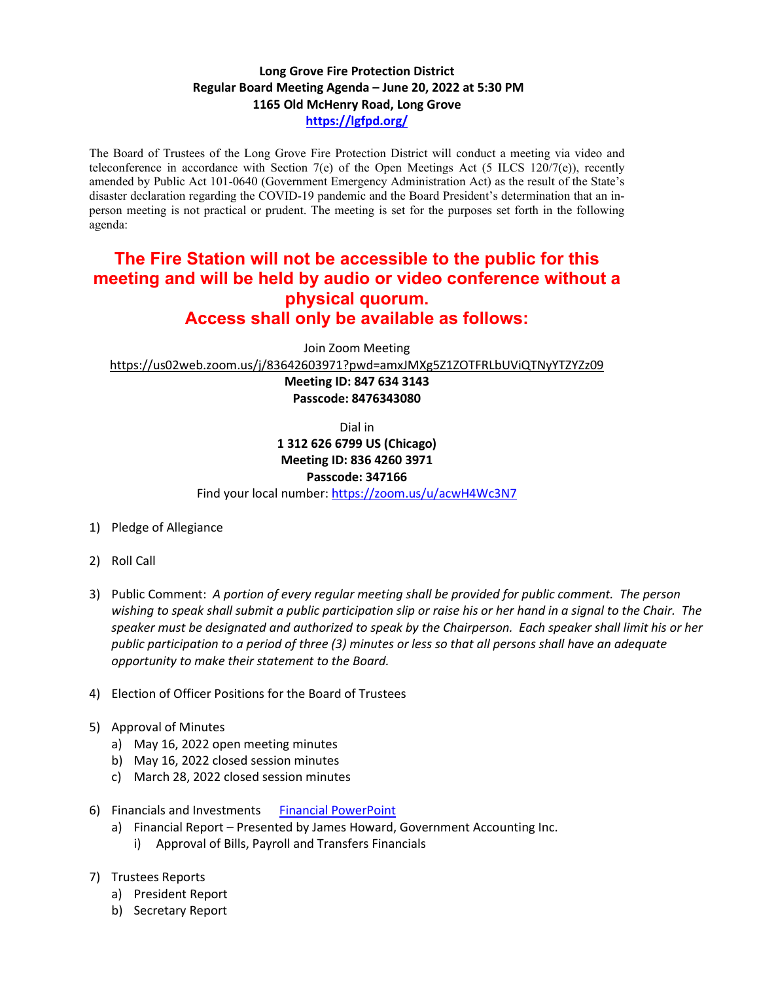## **Long Grove Fire Protection District Regular Board Meeting Agenda – June 20, 2022 at 5:30 PM 1165 Old McHenry Road, Long Grove <https://lgfpd.org/>**

The Board of Trustees of the Long Grove Fire Protection District will conduct a meeting via video and teleconference in accordance with Section 7(e) of the Open Meetings Act (5 ILCS 120/7(e)), recently amended by Public Act 101-0640 (Government Emergency Administration Act) as the result of the State's disaster declaration regarding the COVID-19 pandemic and the Board President's determination that an inperson meeting is not practical or prudent. The meeting is set for the purposes set forth in the following agenda:

## **The Fire Station will not be accessible to the public for this meeting and will be held by audio or video conference without a physical quorum. Access shall only be available as follows:**

Join Zoom Meeting

<https://us02web.zoom.us/j/83642603971?pwd=amxJMXg5Z1ZOTFRLbUViQTNyYTZYZz09>

**Meeting ID: 847 634 3143 Passcode: 8476343080**

Dial in

## **1 312 626 6799 US (Chicago) Meeting ID: 836 4260 3971**

**Passcode: 347166**

Find your local number[: https://zoom.us/u/acwH4Wc3N7](https://zoom.us/u/acwH4Wc3N7)

- 1) Pledge of Allegiance
- 2) Roll Call
- 3) Public Comment: *A portion of every regular meeting shall be provided for public comment. The person wishing to speak shall submit a public participation slip or raise his or her hand in a signal to the Chair. The speaker must be designated and authorized to speak by the Chairperson. Each speaker shall limit his or her public participation to a period of three (3) minutes or less so that all persons shall have an adequate opportunity to make their statement to the Board.*
- 4) Election of Officer Positions for the Board of Trustees
- 5) Approval of Minutes
	- a) May 16, 2022 open meeting minutes
	- b) May 16, 2022 closed session minutes
	- c) March 28, 2022 closed session minutes
- 6) Financials and Investments [Financial PowerPoint](https://itgophers.sharepoint.com/:p:/s/SharedDocs/EQkCPyAy2hdIlrQZKDCl8zcB8Qmi9ymOeEyy0p52l6tUEw?e=iFL3Zu)
	- a) Financial Report Presented by James Howard, Government Accounting Inc.
		- i) Approval of Bills, Payroll and Transfers Financials
- 7) Trustees Reports
	- a) President Report
	- b) Secretary Report